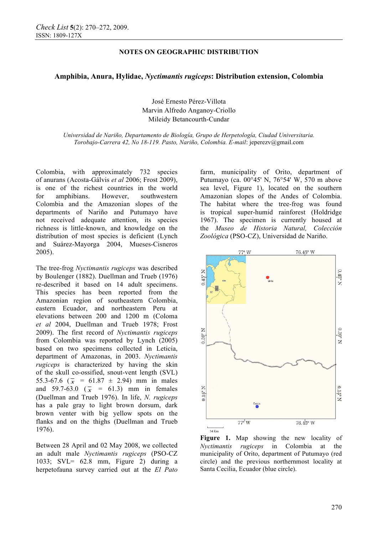# **NOTES ON GEOGRAPHIC DISTRIBUTION**

# **Amphibia, Anura, Hylidae,** *Nyctimantis rugiceps***: Distribution extension, Colombia**

José Ernesto Pérez-Villota Marvin Alfredo Anganoy-Criollo Mileidy Betancourth-Cundar

*Universidad de Nariño, Departamento de Biología, Grupo de Herpetología, Ciudad Universitaria. Torobajo-Carrera 42, No 18-119. Pasto, Nariño, Colombia. E-mail*: jeperezv@gmail.com

Colombia, with approximately 732 species of anurans (Acosta-Gálvis *et al* 2006; Frost 2009), is one of the richest countries in the world for amphibians. However, southwestern Colombia and the Amazonian slopes of the departments of Nariño and Putumayo have not received adequate attention, its species richness is little-known, and knowledge on the distribution of most species is deficient (Lynch and Suárez-Mayorga 2004, Mueses-Cisneros 2005).

The tree-frog *Nyctimantis rugiceps* was described by Boulenger (1882). Duellman and Trueb (1976) re-described it based on 14 adult specimens. This species has been reported from the Amazonian region of southeastern Colombia, eastern Ecuador, and northeastern Peru at elevations between 200 and 1200 m (Coloma *et al* 2004, Duellman and Trueb 1978; Frost 2009). The first record of *Nyctimantis rugiceps* from Colombia was reported by Lynch (2005) based on two specimens collected in Leticia, department of Amazonas, in 2003. *Nyctimantis rugiceps* is characterized by having the skin of the skull co-ossified, snout-vent length (SVL) 55.3-67.6 ( $\overline{x}$  = 61.87 ± 2.94) mm in males and 59.7-63.0 ( $\bar{x} = 61.3$ ) mm in females (Duellman and Trueb 1976). In life, *N. rugiceps* has a pale gray to light brown dorsum, dark brown venter with big yellow spots on the flanks and on the thighs (Duellman and Trueb 1976).

Between 28 April and 02 May 2008, we collected an adult male *Nyctimantis rugiceps* (PSO-CZ 1033; SVL= 62.8 mm, Figure 2) during a herpetofauna survey carried out at the *El Pato*  farm, municipality of Orito, department of Putumayo (ca. 00°45' N, 76°54' W, 570 m above sea level, Figure 1), located on the southern Amazonian slopes of the Andes of Colombia. The habitat where the tree-frog was found is tropical super-humid rainforest (Holdridge 1967). The specimen is currently housed at the *Museo de Historia Natural, Colección Zoológica* (PSO-CZ), Universidad de Nariño.



Figure 1. Map showing the new locality of *Nyctimantis rugiceps* in Colombia at the municipality of Orito, department of Putumayo (red circle) and the previous northernmost locality at Santa Cecilia, Ecuador (blue circle).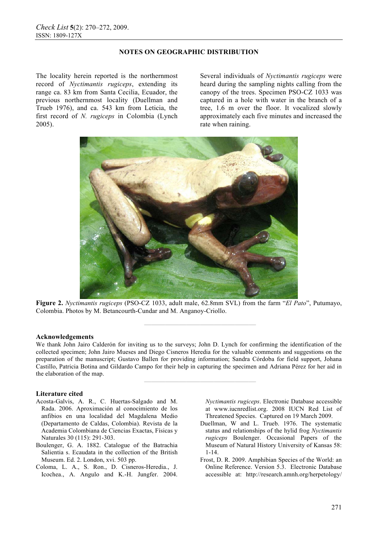# **NOTES ON GEOGRAPHIC DISTRIBUTION**

The locality herein reported is the northernmost record of *Nyctimantis rugiceps*, extending its range ca. 83 km from Santa Cecilia, Ecuador, the previous northernmost locality (Duellman and Trueb 1976), and ca. 543 km from Leticia, the first record of *N. rugiceps* in Colombia (Lynch 2005).

Several individuals of *Nyctimantis rugiceps* were heard during the sampling nights calling from the canopy of the trees. Specimen PSO-CZ 1033 was captured in a hole with water in the branch of a tree, 1.6 m over the floor. It vocalized slowly approximately each five minutes and increased the rate when raining.



**Figure 2.** *Nyctimantis rugiceps* (PSO-CZ 1033, adult male, 62.8mm SVL) from the farm "*El Pato*", Putumayo, Colombia. Photos by M. Betancourth-Cundar and M. Anganoy-Criollo.

**————————————————** 

**————————————————** 

#### **Acknowledgements**

We thank John Jairo Calderón for inviting us to the surveys; John D. Lynch for confirming the identification of the collected specimen; John Jairo Mueses and Diego Cisneros Heredia for the valuable comments and suggestions on the preparation of the manuscript; Gustavo Ballen for providing information; Sandra Córdoba for field support, Johana Castillo, Patricia Botina and Gildardo Campo for their help in capturing the specimen and Adriana Pérez for her aid in the elaboration of the map.

#### **Literature cited**

- Acosta-Galvis, A. R., C. Huertas-Salgado and M. Rada. 2006. Aproximación al conocimiento de los anfibios en una localidad del Magdalena Medio (Departamento de Caldas, Colombia). Revista de la Academia Colombiana de Ciencias Exactas, Físicas y Naturales 30 (115): 291-303.
- Boulenger, G. A. 1882. Catalogue of the Batrachia Salientia s. Ecaudata in the collection of the British Museum. Ed. 2. London, xvi. 503 pp.
- Coloma, L. A., S. Ron., D. Cisneros-Heredia., J. Icochea., A. Angulo and K.-H. Jungfer. 2004.

*Nyctimantis rugiceps*. Electronic Database accessible at www.iucnredlist.org. 2008 IUCN Red List of Threatened Species. Captured on 19 March 2009.

- Duellman, W and L. Trueb. 1976. The systematic status and relationships of the hylid frog *Nyctimantis rugiceps* Boulenger. Occasional Papers of the Museum of Natural History University of Kansas 58: 1-14.
- Frost, D. R. 2009. Amphibian Species of the World: an Online Reference. Version 5.3. Electronic Database accessible at: http://research.amnh.org/herpetology/